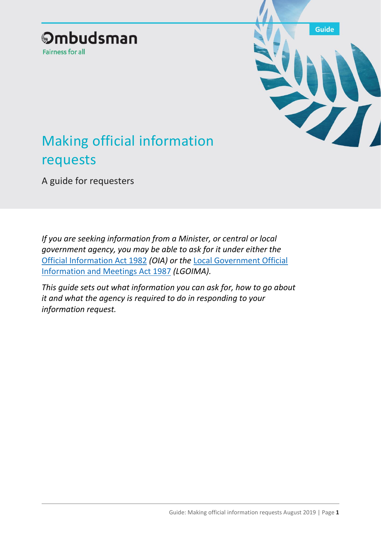



# Making official information requests

A guide for requesters

*If you are seeking information from a Minister, or central or local government agency, you may be able to ask for it under either the*  [Official Information Act 1982](http://legislation.govt.nz/act/public/1982/0156/latest/DLM64785.html?search=ts_act%40bill%40regulation%40deemedreg_official+information_resel_25_a&p=1) *(OIA) or the* [Local Government Official](http://legislation.govt.nz/act/public/1987/0174/latest/DLM122242.html?search=ts_act%40bill%40regulation%40deemedreg_official+information_resel_25_a&p=1)  [Information and Meetings Act 1987](http://legislation.govt.nz/act/public/1987/0174/latest/DLM122242.html?search=ts_act%40bill%40regulation%40deemedreg_official+information_resel_25_a&p=1) *(LGOIMA).*

*This guide sets out what information you can ask for, how to go about it and what the agency is required to do in responding to your information request.*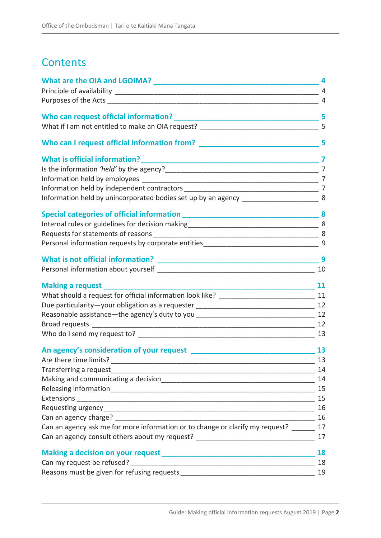# **Contents**

| What are the OIA and LGOIMA?                                                                 | 4                        |
|----------------------------------------------------------------------------------------------|--------------------------|
|                                                                                              | 4                        |
|                                                                                              | 4                        |
|                                                                                              |                          |
| What if I am not entitled to make an OIA request? ______________________________             | 5                        |
| Who can I request official information from? ___________________________________             | 5                        |
|                                                                                              | $\overline{\phantom{a}}$ |
|                                                                                              |                          |
|                                                                                              |                          |
|                                                                                              |                          |
| Information held by unincorporated bodies set up by an agency _____________________________8 |                          |
|                                                                                              |                          |
|                                                                                              |                          |
|                                                                                              |                          |
|                                                                                              |                          |
|                                                                                              | 9                        |
|                                                                                              | 10                       |
|                                                                                              |                          |
|                                                                                              |                          |
|                                                                                              |                          |
|                                                                                              |                          |
|                                                                                              |                          |
|                                                                                              | 13                       |
|                                                                                              | 13                       |
|                                                                                              | 13                       |
| Transferring a request                                                                       | 14                       |
|                                                                                              | 14                       |
|                                                                                              | 15                       |
|                                                                                              | 15                       |
|                                                                                              | 16                       |
| Can an agency charge?                                                                        | 16                       |
| Can an agency ask me for more information or to change or clarify my request?                | 17                       |
| Can an agency consult others about my request? _________________________________             | 17                       |
|                                                                                              | 18                       |
|                                                                                              | 18                       |
|                                                                                              | 19                       |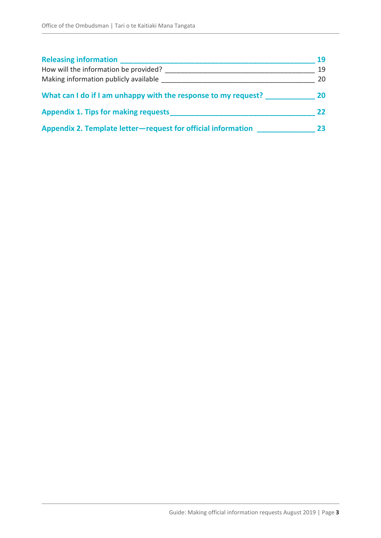| <b>Releasing information</b>                                   | 19 |
|----------------------------------------------------------------|----|
| How will the information be provided?                          | 19 |
| Making information publicly available                          | 20 |
| What can I do if I am unhappy with the response to my request? | 20 |
| <b>Appendix 1. Tips for making requests</b>                    | 22 |
| Appendix 2. Template letter-request for official information   | 23 |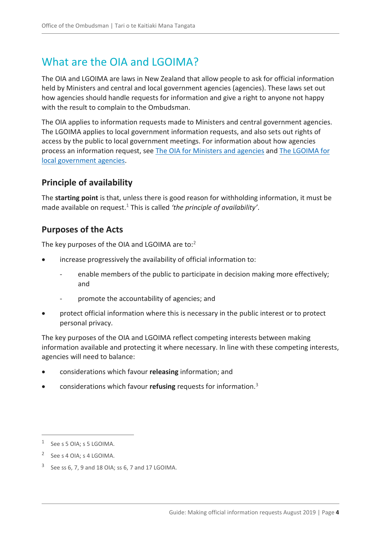### <span id="page-3-0"></span>What are the OIA and LGOIMA?

The OIA and LGOIMA are laws in New Zealand that allow people to ask for official information held by Ministers and central and local government agencies (agencies). These laws set out how agencies should handle requests for information and give a right to anyone not happy with the result to complain to the Ombudsman.

The OIA applies to information requests made to Ministers and central government agencies. The LGOIMA applies to local government information requests, and also sets out rights of access by the public to local government meetings. For information about how agencies process an information request, see [The OIA for Ministers and agencies](https://ombudsman.parliament.nz/resources/oia-ministers-and-agencies-guide-processing-official-information-requests) and [The LGOIMA for](https://ombudsman.parliament.nz/resources/lgoima-local-government-agencies-guide-processing-requests-and-conducting-meetings)  [local government agencies.](https://ombudsman.parliament.nz/resources/lgoima-local-government-agencies-guide-processing-requests-and-conducting-meetings)

### <span id="page-3-1"></span>**Principle of availability**

The **starting point** is that, unless there is good reason for withholding information, it must be made available on request.<sup>1</sup> This is called *'the principle of availability'*.

### <span id="page-3-2"></span>**Purposes of the Acts**

The key purposes of the OIA and LGOIMA are to:<sup>2</sup>

- increase progressively the availability of official information to:
	- enable members of the public to participate in decision making more effectively; and
	- promote the accountability of agencies; and
- protect official information where this is necessary in the public interest or to protect personal privacy.

The key purposes of the OIA and LGOIMA reflect competing interests between making information available and protecting it where necessary. In line with these competing interests, agencies will need to balance:

- considerations which favour **releasing** information; and
- considerations which favour **refusing** requests for information.<sup>3</sup>

<sup>1</sup> See s 5 OIA; s 5 LGOIMA.

<sup>2</sup> See s 4 OIA; s 4 LGOIMA.

<sup>3</sup> See ss 6, 7, 9 and 18 OIA; ss 6, 7 and 17 LGOIMA.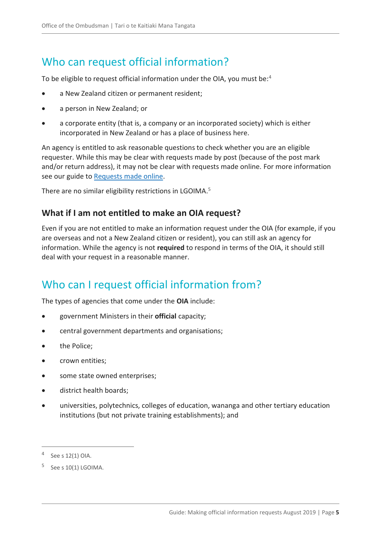# <span id="page-4-0"></span>Who can request official information?

To be eligible to request official information under the OIA, you must be:<sup>4</sup>

- a New Zealand citizen or permanent resident;
- a person in New Zealand; or
- a corporate entity (that is, a company or an incorporated society) which is either incorporated in New Zealand or has a place of business here.

An agency is entitled to ask reasonable questions to check whether you are an eligible requester. While this may be clear with requests made by post (because of the post mark and/or return address), it may not be clear with requests made online. For more information see our guide to [Requests made online.](https://ombudsman.parliament.nz/resources/requests-made-online-guide-requests-made-through-fyiorgnz-and-social-media)

There are no similar eligibility restrictions in LGOIMA.<sup>5</sup>

### <span id="page-4-1"></span>**What if I am not entitled to make an OIA request?**

Even if you are not entitled to make an information request under the OIA (for example, if you are overseas and not a New Zealand citizen or resident), you can still ask an agency for information. While the agency is not **required** to respond in terms of the OIA, it should still deal with your request in a reasonable manner.

### <span id="page-4-2"></span>Who can I request official information from?

The types of agencies that come under the **OIA** include:

- government Ministers in their **official** capacity;
- central government departments and organisations;
- the Police;
- crown entities;
- some state owned enterprises;
- district health boards;
- universities, polytechnics, colleges of education, wananga and other tertiary education institutions (but not private training establishments); and

<sup>4</sup> See s 12(1) OIA.

 $5$  See s 10(1) LGOIMA.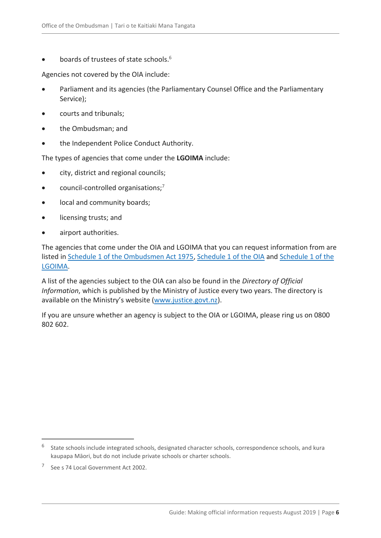boards of trustees of state schools.<sup>6</sup>

Agencies not covered by the OIA include:

- Parliament and its agencies (the Parliamentary Counsel Office and the Parliamentary Service);
- courts and tribunals;
- the Ombudsman; and
- the Independent Police Conduct Authority.

The types of agencies that come under the **LGOIMA** include:

- city, district and regional councils;
- $\bullet$  council-controlled organisations;<sup>7</sup>
- local and community boards;
- licensing trusts; and
- airport authorities.

The agencies that come under the OIA and LGOIMA that you can request information from are listed in [Schedule 1 of the Ombudsmen Act 1975,](http://www.legislation.govt.nz/act/public/1975/0009/latest/DLM431204.html) [Schedule 1 of the](http://www.legislation.govt.nz/act/public/1982/0156/latest/DLM65921.html) OIA and [Schedule 1 of the](http://www.legislation.govt.nz/act/public/1987/0174/latest/DLM123616.html)  [LGOIMA.](http://www.legislation.govt.nz/act/public/1987/0174/latest/DLM123616.html)

A list of the agencies subject to the OIA can also be found in the *Directory of Official Information*, which is published by the Ministry of Justice every two years. The directory is available on the Ministry's website [\(www.justice.govt.nz\)](http://www.justice.govt.nz/).

If you are unsure whether an agency is subject to the OIA or LGOIMA, please ring us on 0800 802 602.

<sup>&</sup>lt;sup>6</sup> State schools include integrated schools, designated character schools, correspondence schools, and kura kaupapa Māori, but do not include private schools or charter schools.

<sup>7</sup> See s 74 Local Government Act 2002.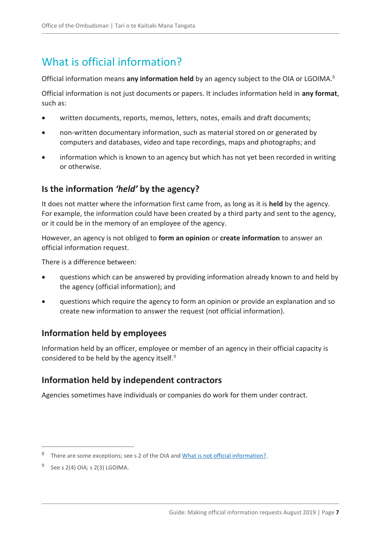# <span id="page-6-0"></span>What is official information?

Official information means **any information held** by an agency subject to the OIA or LGOIMA.<sup>8</sup>

Official information is not just documents or papers. It includes information held in **any format**, such as:

- written documents, reports, memos, letters, notes, emails and draft documents;
- non-written documentary information, such as material stored on or generated by computers and databases, video and tape recordings, maps and photographs; and
- information which is known to an agency but which has not yet been recorded in writing or otherwise.

### <span id="page-6-1"></span>**Is the information** *'held'* **by the agency?**

It does not matter where the information first came from, as long as it is **held** by the agency. For example, the information could have been created by a third party and sent to the agency, or it could be in the memory of an employee of the agency.

However, an agency is not obliged to **form an opinion** or **create information** to answer an official information request.

There is a difference between:

- questions which can be answered by providing information already known to and held by the agency (official information); and
- questions which require the agency to form an opinion or provide an explanation and so create new information to answer the request (not official information).

### <span id="page-6-2"></span>**Information held by employees**

Information held by an officer, employee or member of an agency in their official capacity is considered to be held by the agency itself.<sup>9</sup>

### <span id="page-6-3"></span>**Information held by independent contractors**

Agencies sometimes have individuals or companies do work for them under contract.

<sup>8</sup> There are some exceptions; see s 2 of the OIA an[d What is not official information?.](#page-8-2)

<sup>9</sup> See s 2(4) OIA; s 2(3) LGOIMA.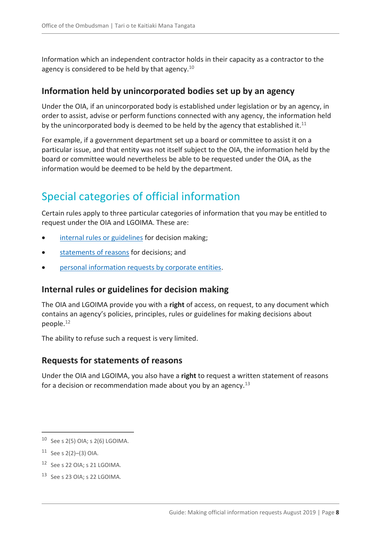Information which an independent contractor holds in their capacity as a contractor to the agency is considered to be held by that agency. $10$ 

#### <span id="page-7-0"></span>**Information held by unincorporated bodies set up by an agency**

Under the OIA, if an unincorporated body is established under legislation or by an agency, in order to assist, advise or perform functions connected with any agency, the information held by the unincorporated body is deemed to be held by the agency that established it. $11$ 

For example, if a government department set up a board or committee to assist it on a particular issue, and that entity was not itself subject to the OIA, the information held by the board or committee would nevertheless be able to be requested under the OIA, as the information would be deemed to be held by the department.

# <span id="page-7-1"></span>Special categories of official information

Certain rules apply to three particular categories of information that you may be entitled to request under the OIA and LGOIMA. These are:

- [internal rules or guidelines](#page-7-2) for decision making;
- [statements of reasons](#page-7-3) for decisions; and
- [personal information requests by corporate entities.](#page-8-0)

### <span id="page-7-2"></span>**Internal rules or guidelines for decision making**

The OIA and LGOIMA provide you with a **right** of access, on request, to any document which contains an agency's policies, principles, rules or guidelines for making decisions about people.<sup>12</sup>

The ability to refuse such a request is very limited.

#### <span id="page-7-3"></span>**Requests for statements of reasons**

Under the OIA and LGOIMA, you also have a **right** to request a written statement of reasons for a decision or recommendation made about you by an agency.<sup>13</sup>

- <sup>12</sup> See s 22 OIA; s 21 LGOIMA.
- <sup>13</sup> See s 23 OIA; s 22 LGOIMA.

<sup>10</sup> See s 2(5) OIA; s 2(6) LGOIMA.

 $11$  See s 2(2)–(3) OIA.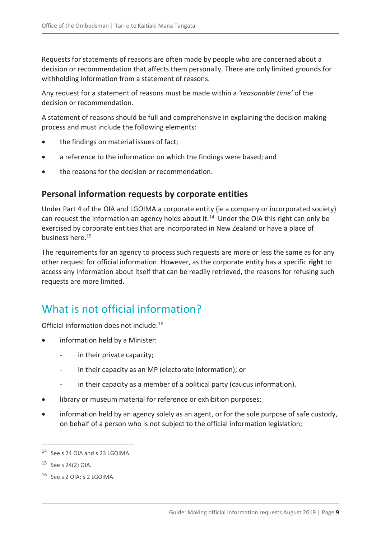Requests for statements of reasons are often made by people who are concerned about a decision or recommendation that affects them personally. There are only limited grounds for withholding information from a statement of reasons.

Any request for a statement of reasons must be made within a *'reasonable time'* of the decision or recommendation.

A statement of reasons should be full and comprehensive in explaining the decision making process and must include the following elements:

- the findings on material issues of fact;
- a reference to the information on which the findings were based; and
- the reasons for the decision or recommendation.

### <span id="page-8-0"></span>**Personal information requests by corporate entities**

Under Part 4 of the OIA and LGOIMA a corporate entity (ie a company or incorporated society) can request the information an agency holds about it.<sup>14</sup> Under the OIA this right can only be exercised by corporate entities that are incorporated in New Zealand or have a place of business here.<sup>15</sup>

The requirements for an agency to process such requests are more or less the same as for any other request for official information. However, as the corporate entity has a specific **right** to access any information about itself that can be readily retrieved, the reasons for refusing such requests are more limited.

# <span id="page-8-2"></span><span id="page-8-1"></span>What is not official information?

Official information does not include:<sup>16</sup>

- information held by a Minister:
	- in their private capacity;
	- in their capacity as an MP (electorate information); or
	- in their capacity as a member of a political party (caucus information).
- library or museum material for reference or exhibition purposes;
- information held by an agency solely as an agent, or for the sole purpose of safe custody, on behalf of a person who is not subject to the official information legislation;

<sup>14</sup> See s 24 OIA and s 23 LGOIMA.

<sup>15</sup> See s 24(2) OIA.

<sup>16</sup> See s 2 OIA; s 2 LGOIMA.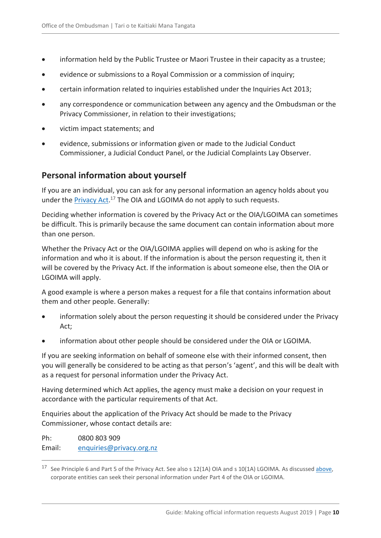- information held by the Public Trustee or Maori Trustee in their capacity as a trustee;
- evidence or submissions to a Royal Commission or a commission of inquiry;
- certain information related to inquiries established under the Inquiries Act 2013;
- any correspondence or communication between any agency and the Ombudsman or the Privacy Commissioner, in relation to their investigations;
- victim impact statements; and
- evidence, submissions or information given or made to the Judicial Conduct Commissioner, a Judicial Conduct Panel, or the Judicial Complaints Lay Observer.

#### <span id="page-9-0"></span>**Personal information about yourself**

If you are an individual, you can ask for any personal information an agency holds about you under the **Privacy Act.**<sup>17</sup> The OIA and LGOIMA do not apply to such requests.

Deciding whether information is covered by the Privacy Act or the OIA/LGOIMA can sometimes be difficult. This is primarily because the same document can contain information about more than one person.

Whether the Privacy Act or the OIA/LGOIMA applies will depend on who is asking for the information and who it is about. If the information is about the person requesting it, then it will be covered by the Privacy Act. If the information is about someone else, then the OIA or LGOIMA will apply.

A good example is where a person makes a request for a file that contains information about them and other people. Generally:

- information solely about the person requesting it should be considered under the Privacy Act;
- information about other people should be considered under the OIA or LGOIMA.

If you are seeking information on behalf of someone else with their informed consent, then you will generally be considered to be acting as that person's 'agent', and this will be dealt with as a request for personal information under the Privacy Act.

Having determined which Act applies, the agency must make a decision on your request in accordance with the particular requirements of that Act.

Enquiries about the application of the Privacy Act should be made to the Privacy Commissioner, whose contact details are:

Ph: 0800 803 909 Email: [enquiries@privacy.org.nz](mailto:enquiries@privacy.org.nz)

<sup>&</sup>lt;sup>17</sup> See Principle 6 and Part 5 of the Privacy Act. See also s 12(1A) OIA and s 10(1A) LGOIMA. As discussed [above,](#page-8-0) corporate entities can seek their personal information under Part 4 of the OIA or LGOIMA.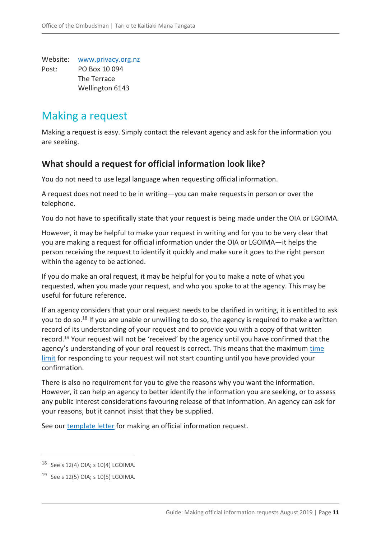Website: [www.privacy.org.nz](http://www.privacy.org.nz/) Post: PO Box 10 094 The Terrace Wellington 6143

### <span id="page-10-0"></span>Making a request

Making a request is easy. Simply contact the relevant agency and ask for the information you are seeking.

### <span id="page-10-1"></span>**What should a request for official information look like?**

You do not need to use legal language when requesting official information.

A request does not need to be in writing—you can make requests in person or over the telephone.

You do not have to specifically state that your request is being made under the OIA or LGOIMA.

However, it may be helpful to make your request in writing and for you to be very clear that you are making a request for official information under the OIA or LGOIMA—it helps the person receiving the request to identify it quickly and make sure it goes to the right person within the agency to be actioned.

If you do make an oral request, it may be helpful for you to make a note of what you requested, when you made your request, and who you spoke to at the agency. This may be useful for future reference.

If an agency considers that your oral request needs to be clarified in writing, it is entitled to ask you to do so.<sup>18</sup> If you are unable or unwilling to do so, the agency is required to make a written record of its understanding of your request and to provide you with a copy of that written record.<sup>19</sup> Your request will not be 'received' by the agency until you have confirmed that the agency's understanding of your oral request is correct. This means that the maximum [time](#page-12-2)  [limit](#page-12-2) for responding to your request will not start counting until you have provided your confirmation.

There is also no requirement for you to give the reasons why you want the information. However, it can help an agency to better identify the information you are seeking, or to assess any public interest considerations favouring release of that information. An agency can ask for your reasons, but it cannot insist that they be supplied.

See our [template letter](#page-22-0) for making an official information request.

<sup>18</sup> See s 12(4) OIA; s 10(4) LGOIMA.

<sup>19</sup> See s 12(5) OIA; s 10(5) LGOIMA.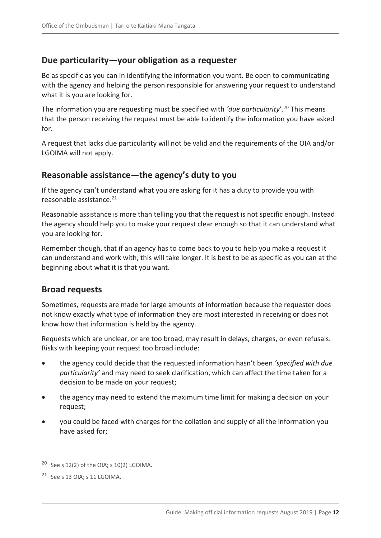#### <span id="page-11-0"></span>**Due particularity—your obligation as a requester**

Be as specific as you can in identifying the information you want. Be open to communicating with the agency and helping the person responsible for answering your request to understand what it is you are looking for.

The information you are requesting must be specified with *'due particularity*'. <sup>20</sup> This means that the person receiving the request must be able to identify the information you have asked for.

A request that lacks due particularity will not be valid and the requirements of the OIA and/or LGOIMA will not apply.

#### <span id="page-11-1"></span>**Reasonable assistance—the agency's duty to you**

If the agency can't understand what you are asking for it has a duty to provide you with reasonable assistance.<sup>21</sup>

Reasonable assistance is more than telling you that the request is not specific enough. Instead the agency should help you to make your request clear enough so that it can understand what you are looking for.

Remember though, that if an agency has to come back to you to help you make a request it can understand and work with, this will take longer. It is best to be as specific as you can at the beginning about what it is that you want.

#### <span id="page-11-2"></span>**Broad requests**

Sometimes, requests are made for large amounts of information because the requester does not know exactly what type of information they are most interested in receiving or does not know how that information is held by the agency.

Requests which are unclear, or are too broad, may result in delays, charges, or even refusals. Risks with keeping your request too broad include:

- the agency could decide that the requested information hasn't been *'specified with due particularity'* and may need to seek clarification, which can affect the time taken for a decision to be made on your request;
- the agency may need to extend the maximum time limit for making a decision on your request;
- you could be faced with charges for the collation and supply of all the information you have asked for;

<sup>&</sup>lt;sup>20</sup> See s  $12(2)$  of the OIA; s  $10(2)$  LGOIMA.

 $21$  See s 13 OIA; s 11 LGOIMA.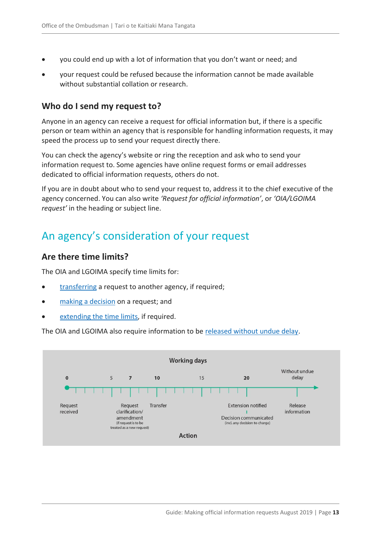- you could end up with a lot of information that you don't want or need; and
- your request could be refused because the information cannot be made available without substantial collation or research.

#### <span id="page-12-0"></span>**Who do I send my request to?**

Anyone in an agency can receive a request for official information but, if there is a specific person or team within an agency that is responsible for handling information requests, it may speed the process up to send your request directly there.

You can check the agency's website or ring the reception and ask who to send your information request to. Some agencies have online request forms or email addresses dedicated to official information requests, others do not.

If you are in doubt about who to send your request to, address it to the chief executive of the agency concerned. You can also write *'Request for official information'*, or *'OIA/LGOIMA request'* in the heading or subject line.

### <span id="page-12-1"></span>An agency's consideration of your request

#### <span id="page-12-2"></span>**Are there time limits?**

The OIA and LGOIMA specify time limits for:

- [transferring](#page-13-0) a request to another agency, if required;
- [making a decision](#page-13-1) on a request; and
- [extending the time limits,](#page-14-1) if required.

The OIA and LGOIMA also require information to be [released without undue delay.](#page-14-0)

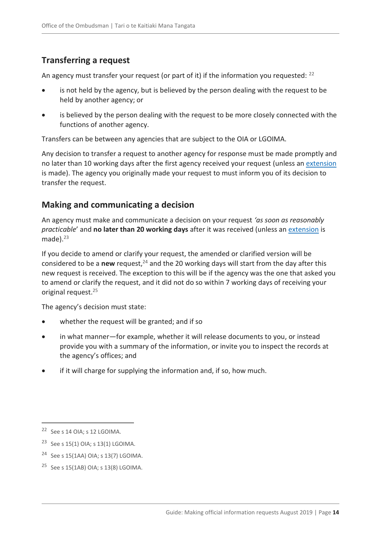### <span id="page-13-0"></span>**Transferring a request**

An agency must transfer your request (or part of it) if the information you requested: <sup>22</sup>

- is not held by the agency, but is believed by the person dealing with the request to be held by another agency; or
- is believed by the person dealing with the request to be more closely connected with the functions of another agency.

Transfers can be between any agencies that are subject to the OIA or LGOIMA.

Any decision to transfer a request to another agency for response must be made promptly and no later than 10 working days after the first agency received your request (unless an [extension](#page-14-1) is made). The agency you originally made your request to must inform you of its decision to transfer the request.

### <span id="page-13-1"></span>**Making and communicating a decision**

An agency must make and communicate a decision on your request *'as soon as reasonably practicable*' and **no later than 20 working days** after it was received (unless a[n extension](#page-14-1) is made).<sup>23</sup>

If you decide to amend or clarify your request, the amended or clarified version will be considered to be a **new** request,<sup>24</sup> and the 20 working days will start from the day after this new request is received. The exception to this will be if the agency was the one that asked you to amend or clarify the request, and it did not do so within 7 working days of receiving your original request.<sup>25</sup>

The agency's decision must state:

- whether the request will be granted; and if so
- in what manner—for example, whether it will release documents to you, or instead provide you with a summary of the information, or invite you to inspect the records at the agency's offices; and
- if it will charge for supplying the information and, if so, how much.

- <sup>23</sup> See s 15(1) OIA; s 13(1) LGOIMA.
- <sup>24</sup> See s 15(1AA) OIA; s 13(7) LGOIMA.
- <sup>25</sup> See s 15(1AB) OIA; s 13(8) LGOIMA.

<sup>22</sup> See s 14 OIA; s 12 LGOIMA.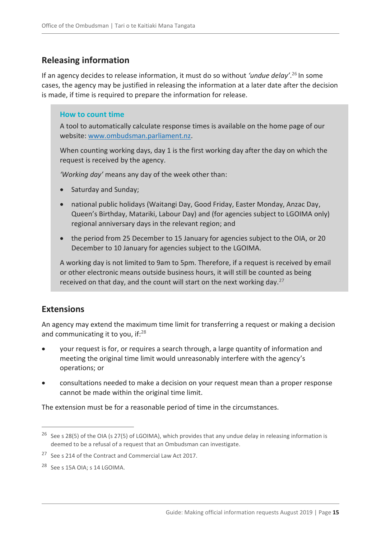### <span id="page-14-0"></span>**Releasing information**

If an agency decides to release information, it must do so without *'undue delay'*. <sup>26</sup> In some cases, the agency may be justified in releasing the information at a later date after the decision is made, if time is required to prepare the information for release.

#### **How to count time**

A tool to automatically calculate response times is available on the home page of our website: [www.ombudsman.parliament.nz.](http://www.ombudsman.parliament.nz/)

When counting working days, day 1 is the first working day after the day on which the request is received by the agency.

*'Working day'* means any day of the week other than:

- Saturday and Sunday;
- national public holidays (Waitangi Day, Good Friday, Easter Monday, Anzac Day, Queen's Birthday, Matariki, Labour Day) and (for agencies subject to LGOIMA only) regional anniversary days in the relevant region; and
- the period from 25 December to 15 January for agencies subject to the OIA, or 20 December to 10 January for agencies subject to the LGOIMA.

A working day is not limited to 9am to 5pm. Therefore, if a request is received by email or other electronic means outside business hours, it will still be counted as being received on that day, and the count will start on the next working day.<sup>27</sup>

### <span id="page-14-1"></span>**Extensions**

 $\overline{a}$ 

An agency may extend the maximum time limit for transferring a request or making a decision and communicating it to you, if: $28$ 

- your request is for, or requires a search through, a large quantity of information and meeting the original time limit would unreasonably interfere with the agency's operations; or
- consultations needed to make a decision on your request mean than a proper response cannot be made within the original time limit.

The extension must be for a reasonable period of time in the circumstances.

<sup>&</sup>lt;sup>26</sup> See s 28(5) of the OIA (s 27(5) of LGOIMA), which provides that any undue delay in releasing information is deemed to be a refusal of a request that an Ombudsman can investigate.

<sup>27</sup> See s 214 of the Contract and Commercial Law Act 2017.

<sup>28</sup> See s 15A OIA; s 14 LGOIMA.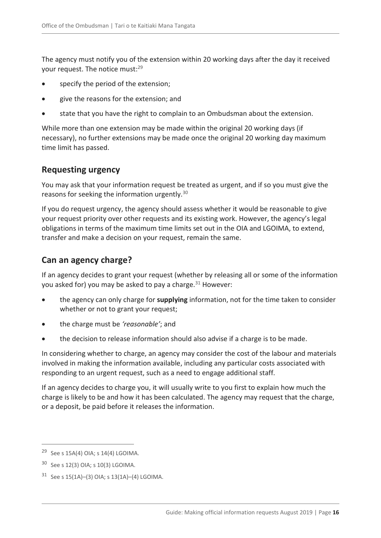The agency must notify you of the extension within 20 working days after the day it received your request. The notice must:<sup>29</sup>

- specify the period of the extension;
- give the reasons for the extension; and
- state that you have the right to complain to an Ombudsman about the extension.

While more than one extension may be made within the original 20 working days (if necessary), no further extensions may be made once the original 20 working day maximum time limit has passed.

### <span id="page-15-0"></span>**Requesting urgency**

You may ask that your information request be treated as urgent, and if so you must give the reasons for seeking the information urgently.<sup>30</sup>

If you do request urgency, the agency should assess whether it would be reasonable to give your request priority over other requests and its existing work. However, the agency's legal obligations in terms of the maximum time limits set out in the OIA and LGOIMA, to extend, transfer and make a decision on your request, remain the same.

### <span id="page-15-1"></span>**Can an agency charge?**

If an agency decides to grant your request (whether by releasing all or some of the information you asked for) you may be asked to pay a charge. $31$  However:

- the agency can only charge for **supplying** information, not for the time taken to consider whether or not to grant your request;
- the charge must be *'reasonable'*; and
- the decision to release information should also advise if a charge is to be made.

In considering whether to charge, an agency may consider the cost of the labour and materials involved in making the information available, including any particular costs associated with responding to an urgent request, such as a need to engage additional staff.

If an agency decides to charge you, it will usually write to you first to explain how much the charge is likely to be and how it has been calculated. The agency may request that the charge, or a deposit, be paid before it releases the information.

<sup>&</sup>lt;sup>29</sup> See s 15A(4) OIA; s 14(4) LGOIMA.

<sup>30</sup> See s 12(3) OIA; s 10(3) LGOIMA.

<sup>31</sup> See s 15(1A)–(3) OIA; s 13(1A)–(4) LGOIMA.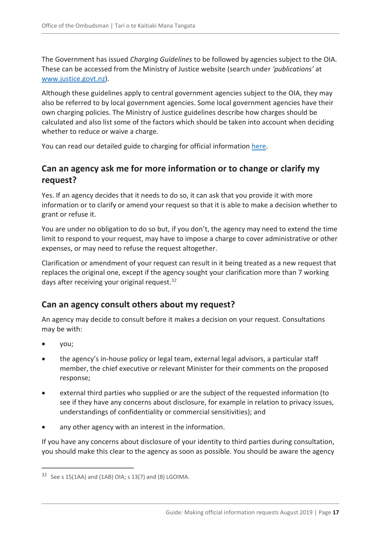The Government has issued *Charging Guidelines* to be followed by agencies subject to the OIA. These can be accessed from the Ministry of Justice website (search under *'publications'* at [www.justice.govt.nz\)](http://www.justice.govt.nz/).

Although these guidelines apply to central government agencies subject to the OIA, they may also be referred to by local government agencies. Some local government agencies have their own charging policies. The Ministry of Justice guidelines describe how charges should be calculated and also list some of the factors which should be taken into account when deciding whether to reduce or waive a charge.

You can read our detailed guide to charging for official information [here.](https://ombudsman.parliament.nz/resources/charging-guide-charging-official-information-under-oia-and-lgoima)

### <span id="page-16-0"></span>**Can an agency ask me for more information or to change or clarify my request?**

Yes. If an agency decides that it needs to do so, it can ask that you provide it with more information or to clarify or amend your request so that it is able to make a decision whether to grant or refuse it.

You are under no obligation to do so but, if you don't, the agency may need to extend the time limit to respond to your request, may have to impose a charge to cover administrative or other expenses, or may need to refuse the request altogether.

Clarification or amendment of your request can result in it being treated as a new request that replaces the original one, except if the agency sought your clarification more than 7 working days after receiving your original request.<sup>32</sup>

### <span id="page-16-1"></span>**Can an agency consult others about my request?**

An agency may decide to consult before it makes a decision on your request. Consultations may be with:

you;

 $\overline{a}$ 

- the agency's in-house policy or legal team, external legal advisors, a particular staff member, the chief executive or relevant Minister for their comments on the proposed response;
- external third parties who supplied or are the subject of the requested information (to see if they have any concerns about disclosure, for example in relation to privacy issues, understandings of confidentiality or commercial sensitivities); and
- any other agency with an interest in the information.

If you have any concerns about disclosure of your identity to third parties during consultation, you should make this clear to the agency as soon as possible. You should be aware the agency

 $32$  See s 15(1AA) and (1AB) OIA; s 13(7) and (8) LGOIMA.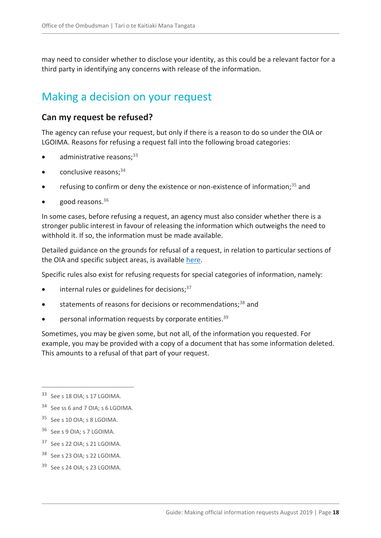may need to consider whether to disclose your identity, as this could be a relevant factor for a third party in identifying any concerns with release of the information.

### <span id="page-17-0"></span>Making a decision on your request

#### <span id="page-17-1"></span>**Can my request be refused?**

The agency can refuse your request, but only if there is a reason to do so under the OIA or LGOIMA. Reasons for refusing a request fall into the following broad categories:

- $\bullet$  administrative reasons;  $33$
- conclusive reasons: 34
- refusing to confirm or deny the existence or non-existence of information;<sup>35</sup> and
- good reasons.<sup>36</sup>

In some cases, before refusing a request, an agency must also consider whether there is a stronger public interest in favour of releasing the information which outweighs the need to withhold it. If so, the information must be made available.

Detailed guidance on the grounds for refusal of a request, in relation to particular sections of the OIA and specific subject areas, is available [here.](https://ombudsman.parliament.nz/resources?f%5B0%5D=category%3A2146)

Specific rules also exist for refusing requests for special categories of information, namely:

- internal rules or guidelines for decisions: $37$
- statements of reasons for decisions or recommendations:<sup>38</sup> and
- personal information requests by corporate entities.<sup>39</sup>

Sometimes, you may be given some, but not all, of the information you requested. For example, you may be provided with a copy of a document that has some information deleted. This amounts to a refusal of that part of your request.

- <sup>36</sup> See s 9 OIA; s 7 LGOIMA.
- <sup>37</sup> See s 22 OIA; s 21 LGOIMA.
- <sup>38</sup> See s 23 OIA; s 22 LGOIMA.
- <sup>39</sup> See s 24 OIA; s 23 LGOIMA.

<sup>33</sup> See s 18 OIA; s 17 LGOIMA.

<sup>34</sup> See ss 6 and 7 OIA; s 6 LGOIMA.

<sup>35</sup> See s 10 OIA; s 8 LGOIMA.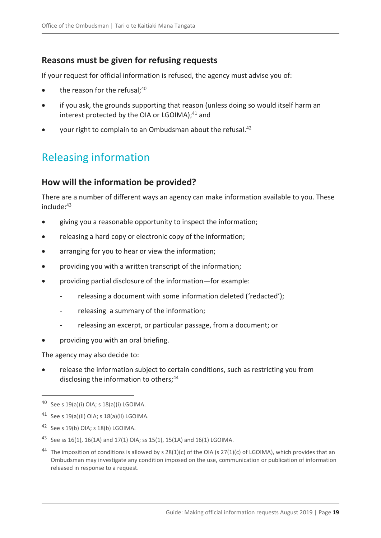### <span id="page-18-0"></span>**Reasons must be given for refusing requests**

If your request for official information is refused, the agency must advise you of:

- the reason for the refusal: $40$
- if you ask, the grounds supporting that reason (unless doing so would itself harm an interest protected by the OIA or LGOIMA); $41$  and
- your right to complain to an Ombudsman about the refusal.<sup>42</sup>

# <span id="page-18-1"></span>Releasing information

### <span id="page-18-2"></span>**How will the information be provided?**

There are a number of different ways an agency can make information available to you. These include:<sup>43</sup>

- giving you a reasonable opportunity to inspect the information;
- releasing a hard copy or electronic copy of the information;
- arranging for you to hear or view the information;
- providing you with a written transcript of the information;
- providing partial disclosure of the information—for example:
	- releasing a document with some information deleted ('redacted');
	- releasing a summary of the information;
	- releasing an excerpt, or particular passage, from a document; or
- providing you with an oral briefing.

The agency may also decide to:

 release the information subject to certain conditions, such as restricting you from disclosing the information to others;<sup>44</sup>

<sup>40</sup> See s 19(a)(i) OIA; s 18(a)(i) LGOIMA.

<sup>41</sup> See s 19(a)(ii) OIA; s 18(a)(ii) LGOIMA.

<sup>&</sup>lt;sup>42</sup> See s 19(b) OIA; s 18(b) LGOIMA.

<sup>43</sup> See ss 16(1), 16(1A) and 17(1) OIA; ss 15(1), 15(1A) and 16(1) LGOIMA.

<sup>&</sup>lt;sup>44</sup> The imposition of conditions is allowed by s  $28(1)(c)$  of the OIA (s  $27(1)(c)$  of LGOIMA), which provides that an Ombudsman may investigate any condition imposed on the use, communication or publication of information released in response to a request.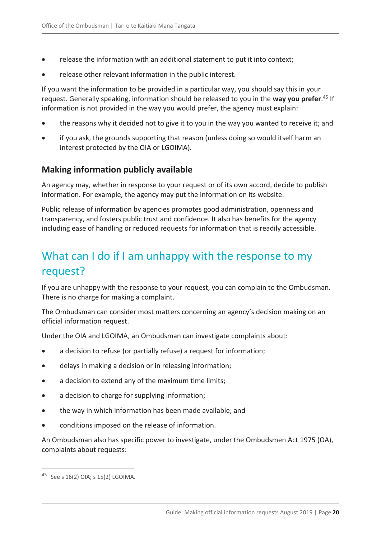- release the information with an additional statement to put it into context;
- release other relevant information in the public interest.

If you want the information to be provided in a particular way, you should say this in your request. Generally speaking, information should be released to you in the **way you prefer**. <sup>45</sup> If information is not provided in the way you would prefer, the agency must explain:

- the reasons why it decided not to give it to you in the way you wanted to receive it; and
- if you ask, the grounds supporting that reason (unless doing so would itself harm an interest protected by the OIA or LGOIMA).

### <span id="page-19-0"></span>**Making information publicly available**

An agency may, whether in response to your request or of its own accord, decide to publish information. For example, the agency may put the information on its website.

Public release of information by agencies promotes good administration, openness and transparency, and fosters public trust and confidence. It also has benefits for the agency including ease of handling or reduced requests for information that is readily accessible.

# <span id="page-19-1"></span>What can I do if I am unhappy with the response to my request?

If you are unhappy with the response to your request, you can complain to the Ombudsman. There is no charge for making a complaint.

The Ombudsman can consider most matters concerning an agency's decision making on an official information request.

Under the OIA and LGOIMA, an Ombudsman can investigate complaints about:

- a decision to refuse (or partially refuse) a request for information;
- delays in making a decision or in releasing information;
- a decision to extend any of the maximum time limits;
- a decision to charge for supplying information;
- the way in which information has been made available; and
- conditions imposed on the release of information.

An Ombudsman also has specific power to investigate, under the Ombudsmen Act 1975 (OA), complaints about requests:

<sup>45</sup> See s 16(2) OIA; s 15(2) LGOIMA.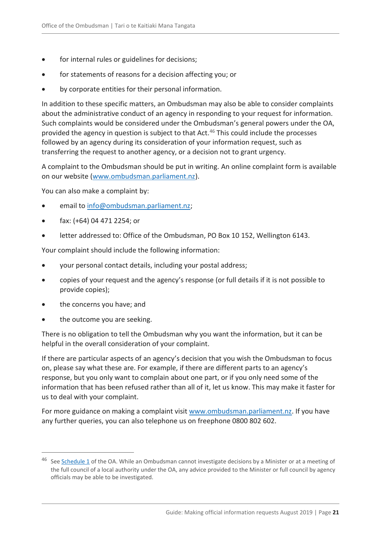- for internal rules or guidelines for decisions;
- for statements of reasons for a decision affecting you; or
- by corporate entities for their personal information.

In addition to these specific matters, an Ombudsman may also be able to consider complaints about the administrative conduct of an agency in responding to your request for information. Such complaints would be considered under the Ombudsman's general powers under the OA, provided the agency in question is subject to that Act.<sup>46</sup> This could include the processes followed by an agency during its consideration of your information request, such as transferring the request to another agency, or a decision not to grant urgency.

A complaint to the Ombudsman should be put in writing. An online complaint form is available on our website [\(www.ombudsman.parliament.nz\)](http://www.ombudsman.parliament.nz/).

You can also make a complaint by:

- email to [info@ombudsman.parliament.nz;](mailto:info@ombudsman.parliament.nz)
- fax: (+64) 04 471 2254; or
- letter addressed to: Office of the Ombudsman, PO Box 10 152, Wellington 6143.

Your complaint should include the following information:

- your personal contact details, including your postal address;
- copies of your request and the agency's response (or full details if it is not possible to provide copies);
- the concerns you have; and
- the outcome you are seeking.

 $\overline{a}$ 

There is no obligation to tell the Ombudsman why you want the information, but it can be helpful in the overall consideration of your complaint.

If there are particular aspects of an agency's decision that you wish the Ombudsman to focus on, please say what these are. For example, if there are different parts to an agency's response, but you only want to complain about one part, or if you only need some of the information that has been refused rather than all of it, let us know. This may make it faster for us to deal with your complaint.

For more guidance on making a complaint visit [www.ombudsman.parliament.nz.](http://www.ombudsman.parliament.nz/) If you have any further queries, you can also telephone us on freephone 0800 802 602.

<sup>&</sup>lt;sup>46</sup> See [Schedule 1](http://legislation.govt.nz/act/public/1975/0009/latest/DLM431204.html) of the OA. While an Ombudsman cannot investigate decisions by a Minister or at a meeting of the full council of a local authority under the OA, any advice provided to the Minister or full council by agency officials may be able to be investigated.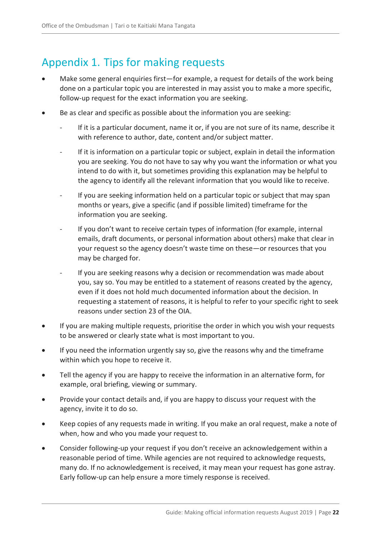# <span id="page-21-0"></span>Appendix 1. Tips for making requests

- Make some general enquiries first—for example, a request for details of the work being done on a particular topic you are interested in may assist you to make a more specific, follow-up request for the exact information you are seeking.
- Be as clear and specific as possible about the information you are seeking:
	- If it is a particular document, name it or, if you are not sure of its name, describe it with reference to author, date, content and/or subject matter.
	- If it is information on a particular topic or subject, explain in detail the information you are seeking. You do not have to say why you want the information or what you intend to do with it, but sometimes providing this explanation may be helpful to the agency to identify all the relevant information that you would like to receive.
	- If you are seeking information held on a particular topic or subject that may span months or years, give a specific (and if possible limited) timeframe for the information you are seeking.
	- If you don't want to receive certain types of information (for example, internal emails, draft documents, or personal information about others) make that clear in your request so the agency doesn't waste time on these—or resources that you may be charged for.
	- If you are seeking reasons why a decision or recommendation was made about you, say so. You may be entitled to a statement of reasons created by the agency, even if it does not hold much documented information about the decision. In requesting a statement of reasons, it is helpful to refer to your specific [right to seek](#page-7-3)  [reasons](#page-7-3) under section 23 of the OIA.
- If you are making multiple requests, prioritise the order in which you wish your requests to be answered or clearly state what is most important to you.
- If you need the information urgently say so, give the reasons why and the timeframe within which you hope to receive it.
- Tell the agency if you are happy to receive the information in an alternative form, for example, oral briefing, viewing or summary.
- Provide your contact details and, if you are happy to discuss your request with the agency, invite it to do so.
- Keep copies of any requests made in writing. If you make an oral request, make a note of when, how and who you made your request to.
- Consider following-up your request if you don't receive an acknowledgement within a reasonable period of time. While agencies are not required to acknowledge requests, many do. If no acknowledgement is received, it may mean your request has gone astray. Early follow-up can help ensure a more timely response is received.